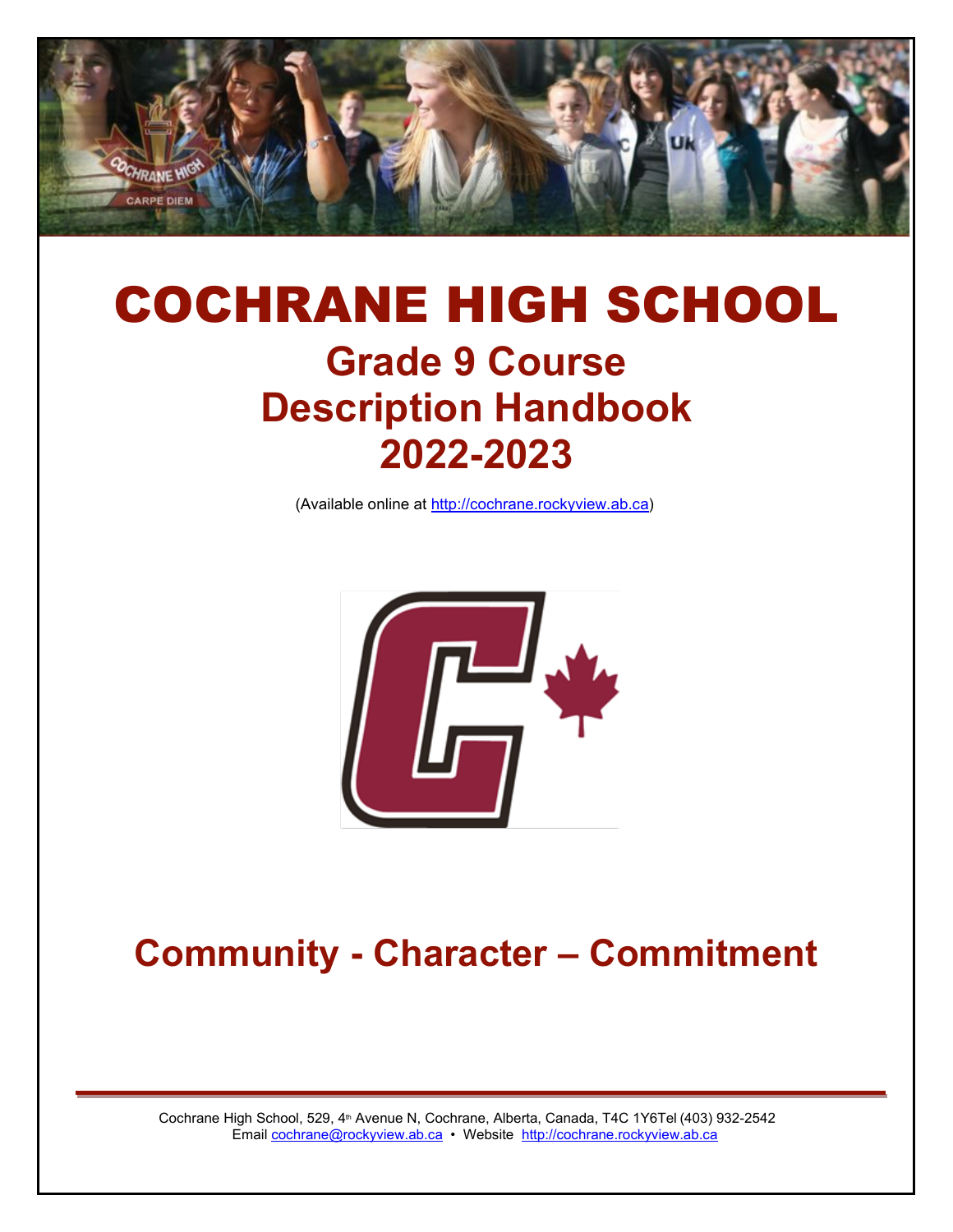

# COCHRANE HIGH SCHOOL **Grade 9 Course Description Handbook 2022-2023**

(Available online at [http://cochrane.rockyview.ab.ca\)](http://cochrane.rockyview.ab.ca/)



## **Community - Character – Commitment**

Cochrane High School, 529, 4<sup>th</sup> Avenue N, Cochrane, Alberta, Canada, T4C 1Y6Tel (403) 932-2542 Email [cochrane@rockyview.ab.ca](mailto:cochrane@rockyview.ab.ca) • Website [http://cochrane.rockyview.ab.ca](http://cochrane.rockyview.ab.ca/)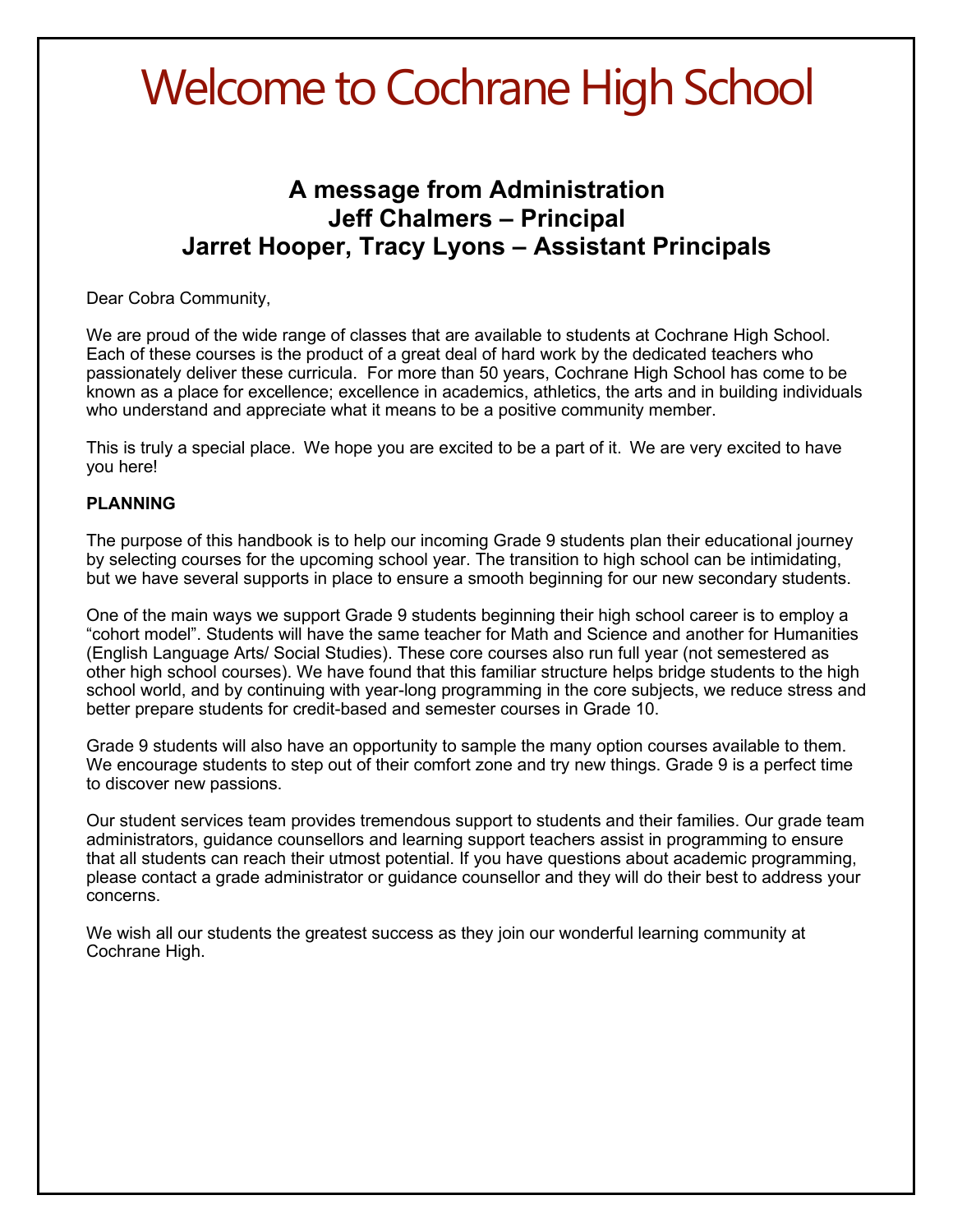# Welcome to Cochrane High School

### **A message from Administration Jeff Chalmers – Principal Jarret Hooper, Tracy Lyons – Assistant Principals**

#### Dear Cobra Community,

We are proud of the wide range of classes that are available to students at Cochrane High School. Each of these courses is the product of a great deal of hard work by the dedicated teachers who passionately deliver these curricula. For more than 50 years, Cochrane High School has come to be known as a place for excellence; excellence in academics, athletics, the arts and in building individuals who understand and appreciate what it means to be a positive community member.

This is truly a special place.  We hope you are excited to be a part of it.  We are very excited to have you here!

#### **PLANNING**

The purpose of this handbook is to help our incoming Grade 9 students plan their educational journey by selecting courses for the upcoming school year. The transition to high school can be intimidating, but we have several supports in place to ensure a smooth beginning for our new secondary students.

One of the main ways we support Grade 9 students beginning their high school career is to employ a "cohort model". Students will have the same teacher for Math and Science and another for Humanities (English Language Arts/ Social Studies). These core courses also run full year (not semestered as other high school courses). We have found that this familiar structure helps bridge students to the high school world, and by continuing with year-long programming in the core subjects, we reduce stress and better prepare students for credit-based and semester courses in Grade 10.

Grade 9 students will also have an opportunity to sample the many option courses available to them. We encourage students to step out of their comfort zone and try new things. Grade 9 is a perfect time to discover new passions.

Our student services team provides tremendous support to students and their families. Our grade team administrators, guidance counsellors and learning support teachers assist in programming to ensure that all students can reach their utmost potential. If you have questions about academic programming, please contact a grade administrator or guidance counsellor and they will do their best to address your concerns.

We wish all our students the greatest success as they join our wonderful learning community at Cochrane High.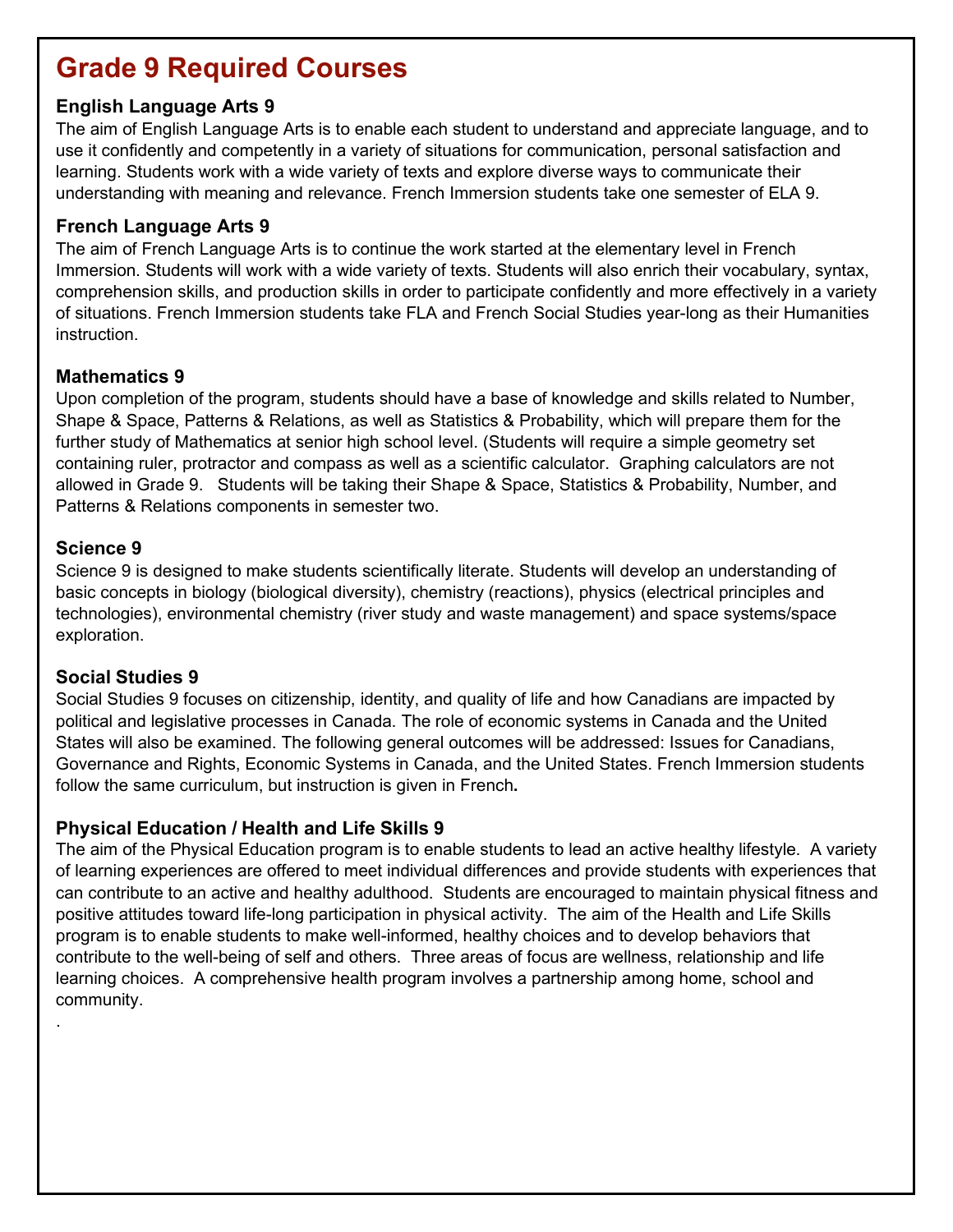## **Grade 9 Required Courses**

#### **English Language Arts 9**

The aim of English Language Arts is to enable each student to understand and appreciate language, and to use it confidently and competently in a variety of situations for communication, personal satisfaction and learning. Students work with a wide variety of texts and explore diverse ways to communicate their understanding with meaning and relevance. French Immersion students take one semester of ELA 9.

#### **French Language Arts 9**

The aim of French Language Arts is to continue the work started at the elementary level in French Immersion. Students will work with a wide variety of texts. Students will also enrich their vocabulary, syntax, comprehension skills, and production skills in order to participate confidently and more effectively in a variety of situations. French Immersion students take FLA and French Social Studies year-long as their Humanities instruction.

#### **Mathematics 9**

Upon completion of the program, students should have a base of knowledge and skills related to Number, Shape & Space, Patterns & Relations, as well as Statistics & Probability, which will prepare them for the further study of Mathematics at senior high school level. (Students will require a simple geometry set containing ruler, protractor and compass as well as a scientific calculator. Graphing calculators are not allowed in Grade 9. Students will be taking their Shape & Space, Statistics & Probability, Number, and Patterns & Relations components in semester two.

#### **Science 9**

.

Science 9 is designed to make students scientifically literate. Students will develop an understanding of basic concepts in biology (biological diversity), chemistry (reactions), physics (electrical principles and technologies), environmental chemistry (river study and waste management) and space systems/space exploration.

#### **Social Studies 9**

Social Studies 9 focuses on citizenship, identity, and quality of life and how Canadians are impacted by political and legislative processes in Canada. The role of economic systems in Canada and the United States will also be examined. The following general outcomes will be addressed: Issues for Canadians, Governance and Rights, Economic Systems in Canada, and the United States. French Immersion students follow the same curriculum, but instruction is given in French**.**

#### **Physical Education / Health and Life Skills 9**

The aim of the Physical Education program is to enable students to lead an active healthy lifestyle. A variety of learning experiences are offered to meet individual differences and provide students with experiences that can contribute to an active and healthy adulthood. Students are encouraged to maintain physical fitness and positive attitudes toward life-long participation in physical activity. The aim of the Health and Life Skills program is to enable students to make well-informed, healthy choices and to develop behaviors that contribute to the well-being of self and others. Three areas of focus are wellness, relationship and life learning choices. A comprehensive health program involves a partnership among home, school and community.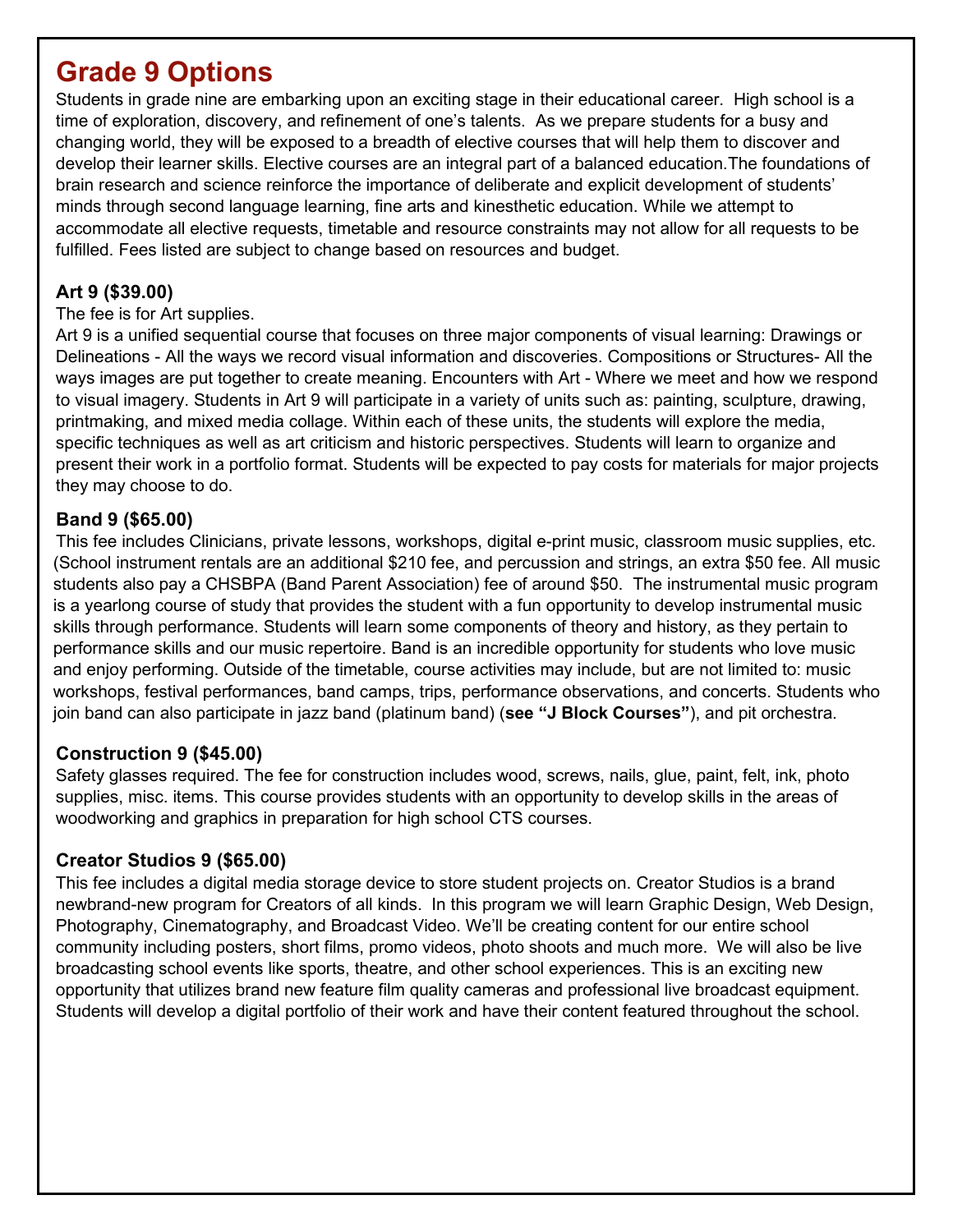## **Grade 9 Options**

Students in grade nine are embarking upon an exciting stage in their educational career. High school is a time of exploration, discovery, and refinement of one's talents. As we prepare students for a busy and changing world, they will be exposed to a breadth of elective courses that will help them to discover and develop their learner skills. Elective courses are an integral part of a balanced education.The foundations of brain research and science reinforce the importance of deliberate and explicit development of students' minds through second language learning, fine arts and kinesthetic education. While we attempt to accommodate all elective requests, timetable and resource constraints may not allow for all requests to be fulfilled. Fees listed are subject to change based on resources and budget.

#### **Art 9 (\$39.00)**

#### The fee is for Art supplies.

Art 9 is a unified sequential course that focuses on three major components of visual learning: Drawings or Delineations - All the ways we record visual information and discoveries. Compositions or Structures- All the ways images are put together to create meaning. Encounters with Art - Where we meet and how we respond to visual imagery. Students in Art 9 will participate in a variety of units such as: painting, sculpture, drawing, printmaking, and mixed media collage. Within each of these units, the students will explore the media, specific techniques as well as art criticism and historic perspectives. Students will learn to organize and present their work in a portfolio format. Students will be expected to pay costs for materials for major projects they may choose to do.

#### **Band 9 (\$65.00)**

This fee includes Clinicians, private lessons, workshops, digital e-print music, classroom music supplies, etc. (School instrument rentals are an additional \$210 fee, and percussion and strings, an extra \$50 fee. All music students also pay a CHSBPA (Band Parent Association) fee of around \$50. The instrumental music program is a yearlong course of study that provides the student with a fun opportunity to develop instrumental music skills through performance. Students will learn some components of theory and history, as they pertain to performance skills and our music repertoire. Band is an incredible opportunity for students who love music and enjoy performing. Outside of the timetable, course activities may include, but are not limited to: music workshops, festival performances, band camps, trips, performance observations, and concerts. Students who join band can also participate in jazz band (platinum band) (**see "J Block Courses"**), and pit orchestra.

#### **Construction 9 (\$45.00)**

Safety glasses required. The fee for construction includes wood, screws, nails, glue, paint, felt, ink, photo supplies, misc. items. This course provides students with an opportunity to develop skills in the areas of woodworking and graphics in preparation for high school CTS courses.

#### **Creator Studios 9 (\$65.00)**

This fee includes a digital media storage device to store student projects on. Creator Studios is a brand newbrand-new program for Creators of all kinds. In this program we will learn Graphic Design, Web Design, Photography, Cinematography, and Broadcast Video. We'll be creating content for our entire school community including posters, short films, promo videos, photo shoots and much more. We will also be live broadcasting school events like sports, theatre, and other school experiences. This is an exciting new opportunity that utilizes brand new feature film quality cameras and professional live broadcast equipment. Students will develop a digital portfolio of their work and have their content featured throughout the school.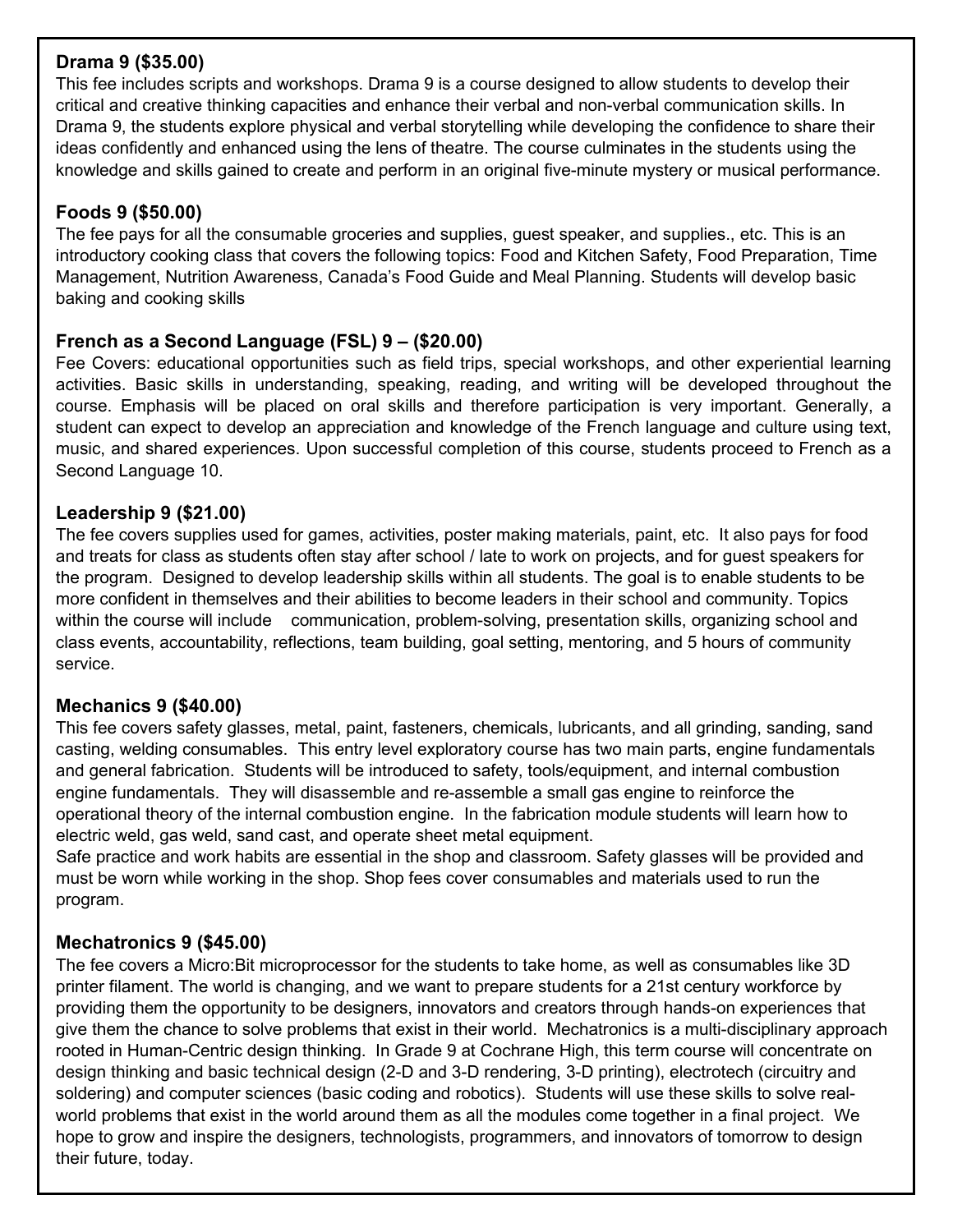#### **Drama 9 (\$35.00)**

This fee includes scripts and workshops. Drama 9 is a course designed to allow students to develop their critical and creative thinking capacities and enhance their verbal and non-verbal communication skills. In Drama 9, the students explore physical and verbal storytelling while developing the confidence to share their ideas confidently and enhanced using the lens of theatre. The course culminates in the students using the knowledge and skills gained to create and perform in an original five-minute mystery or musical performance.

#### **Foods 9 (\$50.00)**

The fee pays for all the consumable groceries and supplies, guest speaker, and supplies., etc. This is an introductory cooking class that covers the following topics: Food and Kitchen Safety, Food Preparation, Time Management, Nutrition Awareness, Canada's Food Guide and Meal Planning. Students will develop basic baking and cooking skills

#### **French as a Second Language (FSL) 9 – (\$20.00)**

Fee Covers: educational opportunities such as field trips, special workshops, and other experiential learning activities. Basic skills in understanding, speaking, reading, and writing will be developed throughout the course. Emphasis will be placed on oral skills and therefore participation is very important. Generally, a student can expect to develop an appreciation and knowledge of the French language and culture using text, music, and shared experiences. Upon successful completion of this course, students proceed to French as a Second Language 10.

#### **Leadership 9 (\$21.00)**

The fee covers supplies used for games, activities, poster making materials, paint, etc. It also pays for food and treats for class as students often stay after school / late to work on projects, and for guest speakers for the program. Designed to develop leadership skills within all students. The goal is to enable students to be more confident in themselves and their abilities to become leaders in their school and community. Topics within the course will include communication, problem-solving, presentation skills, organizing school and class events, accountability, reflections, team building, goal setting, mentoring, and 5 hours of community service.

#### **Mechanics 9 (\$40.00)**

This fee covers safety glasses, metal, paint, fasteners, chemicals, lubricants, and all grinding, sanding, sand casting, welding consumables. This entry level exploratory course has two main parts, engine fundamentals and general fabrication. Students will be introduced to safety, tools/equipment, and internal combustion engine fundamentals. They will disassemble and re-assemble a small gas engine to reinforce the operational theory of the internal combustion engine. In the fabrication module students will learn how to electric weld, gas weld, sand cast, and operate sheet metal equipment.

Safe practice and work habits are essential in the shop and classroom. Safety glasses will be provided and must be worn while working in the shop. Shop fees cover consumables and materials used to run the program.

#### **Mechatronics 9 (\$45.00)**

The fee covers a Micro:Bit microprocessor for the students to take home, as well as consumables like 3D printer filament. The world is changing, and we want to prepare students for a 21st century workforce by providing them the opportunity to be designers, innovators and creators through hands-on experiences that give them the chance to solve problems that exist in their world. Mechatronics is a multi-disciplinary approach rooted in Human-Centric design thinking. In Grade 9 at Cochrane High, this term course will concentrate on design thinking and basic technical design (2-D and 3-D rendering, 3-D printing), electrotech (circuitry and soldering) and computer sciences (basic coding and robotics). Students will use these skills to solve realworld problems that exist in the world around them as all the modules come together in a final project. We hope to grow and inspire the designers, technologists, programmers, and innovators of tomorrow to design their future, today.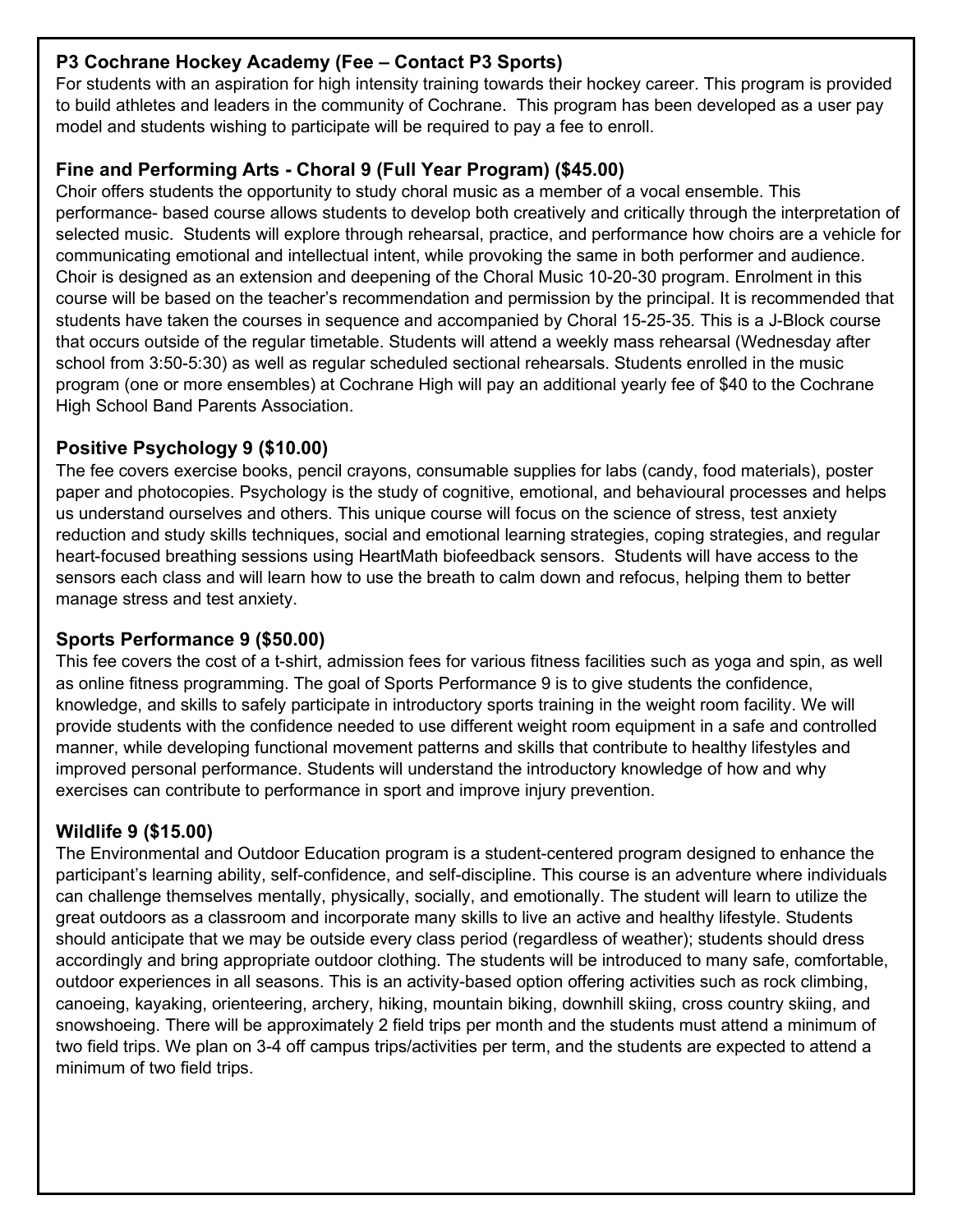#### **P3 Cochrane Hockey Academy (Fee – Contact P3 Sports)**

For students with an aspiration for high intensity training towards their hockey career. This program is provided to build athletes and leaders in the community of Cochrane. This program has been developed as a user pay model and students wishing to participate will be required to pay a fee to enroll.

#### **Fine and Performing Arts - Choral 9 (Full Year Program) (\$45.00)**

Choir offers students the opportunity to study choral music as a member of a vocal ensemble. This performance- based course allows students to develop both creatively and critically through the interpretation of selected music. Students will explore through rehearsal, practice, and performance how choirs are a vehicle for communicating emotional and intellectual intent, while provoking the same in both performer and audience. Choir is designed as an extension and deepening of the Choral Music 10-20-30 program. Enrolment in this course will be based on the teacher's recommendation and permission by the principal. It is recommended that students have taken the courses in sequence and accompanied by Choral 15-25-35. This is a J-Block course that occurs outside of the regular timetable. Students will attend a weekly mass rehearsal (Wednesday after school from 3:50-5:30) as well as regular scheduled sectional rehearsals. Students enrolled in the music program (one or more ensembles) at Cochrane High will pay an additional yearly fee of \$40 to the Cochrane High School Band Parents Association.

#### **Positive Psychology 9 (\$10.00)**

The fee covers exercise books, pencil crayons, consumable supplies for labs (candy, food materials), poster paper and photocopies. Psychology is the study of cognitive, emotional, and behavioural processes and helps us understand ourselves and others. This unique course will focus on the science of stress, test anxiety reduction and study skills techniques, social and emotional learning strategies, coping strategies, and regular heart-focused breathing sessions using HeartMath biofeedback sensors. Students will have access to the sensors each class and will learn how to use the breath to calm down and refocus, helping them to better manage stress and test anxiety.

#### **Sports Performance 9 (\$50.00)**

This fee covers the cost of a t-shirt, admission fees for various fitness facilities such as yoga and spin, as well as online fitness programming. The goal of Sports Performance 9 is to give students the confidence, knowledge, and skills to safely participate in introductory sports training in the weight room facility. We will provide students with the confidence needed to use different weight room equipment in a safe and controlled manner, while developing functional movement patterns and skills that contribute to healthy lifestyles and improved personal performance. Students will understand the introductory knowledge of how and why exercises can contribute to performance in sport and improve injury prevention.

#### **Wildlife 9 (\$15.00)**

The Environmental and Outdoor Education program is a student-centered program designed to enhance the participant's learning ability, self-confidence, and self-discipline. This course is an adventure where individuals can challenge themselves mentally, physically, socially, and emotionally. The student will learn to utilize the great outdoors as a classroom and incorporate many skills to live an active and healthy lifestyle. Students should anticipate that we may be outside every class period (regardless of weather); students should dress accordingly and bring appropriate outdoor clothing. The students will be introduced to many safe, comfortable, outdoor experiences in all seasons. This is an activity-based option offering activities such as rock climbing, canoeing, kayaking, orienteering, archery, hiking, mountain biking, downhill skiing, cross country skiing, and snowshoeing. There will be approximately 2 field trips per month and the students must attend a minimum of two field trips. We plan on 3-4 off campus trips/activities per term, and the students are expected to attend a minimum of two field trips.